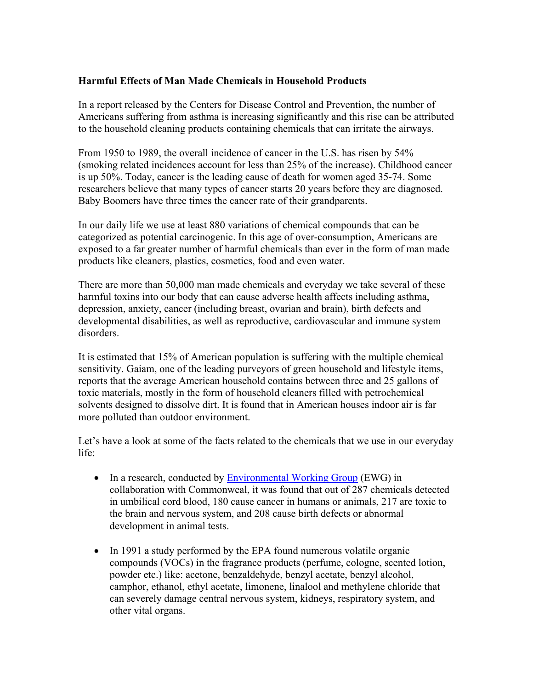## **Harmful Effects of Man Made Chemicals in Household Products**

In a report released by the Centers for Disease Control and Prevention, the number of Americans suffering from asthma is increasing significantly and this rise can be attributed to the household cleaning products containing chemicals that can irritate the airways.

From 1950 to 1989, the overall incidence of cancer in the U.S. has risen by 54% (smoking related incidences account for less than 25% of the increase). Childhood cancer is up 50%. Today, cancer is the leading cause of death for women aged 35-74. Some researchers believe that many types of cancer starts 20 years before they are diagnosed. Baby Boomers have three times the cancer rate of their grandparents.

In our daily life we use at least 880 variations of chemical compounds that can be categorized as potential carcinogenic. In this age of over-consumption, Americans are exposed to a far greater number of harmful chemicals than ever in the form of man made products like cleaners, plastics, cosmetics, food and even water.

There are more than 50,000 man made chemicals and everyday we take several of these harmful toxins into our body that can cause adverse health affects including asthma, depression, anxiety, cancer (including breast, ovarian and brain), birth defects and developmental disabilities, as well as reproductive, cardiovascular and immune system disorders.

It is estimated that 15% of American population is suffering with the multiple chemical sensitivity. Gaiam, one of the leading purveyors of green household and lifestyle items, reports that the average American household contains between three and 25 gallons of toxic materials, mostly in the form of household cleaners filled with petrochemical solvents designed to dissolve dirt. It is found that in American houses indoor air is far more polluted than outdoor environment.

Let's have a look at some of the facts related to the chemicals that we use in our everyday life:

- In a research, conducted by Environmental Working Group (EWG) in collaboration with Commonweal, it was found that out of 287 chemicals detected in umbilical cord blood, 180 cause cancer in humans or animals, 217 are toxic to the brain and nervous system, and 208 cause birth defects or abnormal development in animal tests.
- In 1991 a study performed by the EPA found numerous volatile organic compounds (VOCs) in the fragrance products (perfume, cologne, scented lotion, powder etc.) like: acetone, benzaldehyde, benzyl acetate, benzyl alcohol, camphor, ethanol, ethyl acetate, limonene, linalool and methylene chloride that can severely damage central nervous system, kidneys, respiratory system, and other vital organs.